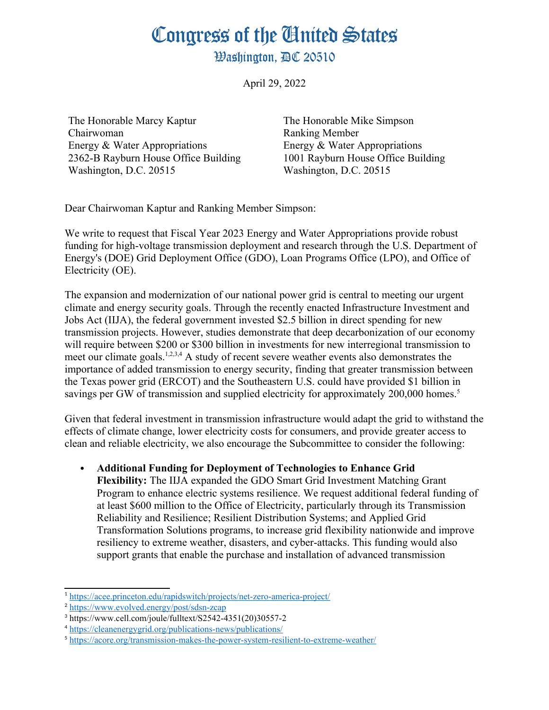**Washington, AC 20510** 

April 29, 2022

The Honorable Marcy Kaptur Chairwoman Energy & Water Appropriations 2362-B Rayburn House Office Building Washington, D.C. 20515

<span id="page-0-8"></span>The Honorable Mike Simpson Ranking Member Energy & Water Appropriations 1001 Rayburn House Office Building Washington, D.C. 20515

Dear Chairwoman Kaptur and Ranking Member Simpson:

We write to request that Fiscal Year 2023 Energy and Water Appropriations provide robust funding for high-voltage transmission deployment and research through the U.S. Department of Energy's (DOE) Grid Deployment Office (GDO), Loan Programs Office (LPO), and Office of Electricity (OE).

<span id="page-0-6"></span><span id="page-0-4"></span><span id="page-0-2"></span><span id="page-0-0"></span>The expansion and modernization of our national power grid is central to meeting our urgent climate and energy security goals. Through the recently enacted Infrastructure Investment and Jobs Act (IIJA), the federal government invested \$2.5 billion in direct spending for new transmission projects. However, studies demonstrate that deep decarbonization of our economy will require between \$200 or \$300 billion in investments for new interregional transmission to meet our climate goals.<sup>[1,](#page-0-1)[2](#page-0-3)[,3](#page-0-5),[4](#page-0-7)</sup> A study of recent severe weather events also demonstrates the importance of added transmission to energy security, finding that greater transmission between the Texas power grid (ERCOT) and the Southeastern U.S. could have provided \$1 billion in savings per GW of transmission and supplied electricity for approximately 200,000 homes.<sup>[5](#page-0-9)</sup>

Given that federal investment in transmission infrastructure would adapt the grid to withstand the effects of climate change, lower electricity costs for consumers, and provide greater access to clean and reliable electricity, we also encourage the Subcommittee to consider the following:

 **Additional Funding for Deployment of Technologies to Enhance Grid Flexibility:** The IIJA expanded the GDO Smart Grid Investment Matching Grant Program to enhance electric systems resilience. We request additional federal funding of at least \$600 million to the Office of Electricity, particularly through its Transmission Reliability and Resilience; Resilient Distribution Systems; and Applied Grid Transformation Solutions programs, to increase grid flexibility nationwide and improve resiliency to extreme weather, disasters, and cyber-attacks. This funding would also support grants that enable the purchase and installation of advanced transmission

<span id="page-0-1"></span><sup>&</sup>lt;sup>[1](#page-0-0)</sup> <https://acee.princeton.edu/rapidswitch/projects/net-zero-america-project/>

<span id="page-0-3"></span><sup>&</sup>lt;sup>[2](#page-0-2)</sup> <https://www.evolved.energy/post/sdsn-zcap>

<span id="page-0-5"></span>[<sup>3</sup>](#page-0-4) https://www.cell.com/joule/fulltext/S2542-4351(20)30557-2

<span id="page-0-7"></span><sup>&</sup>lt;sup>[4](#page-0-6)</sup> <https://cleanenergygrid.org/publications-news/publications/>

<span id="page-0-9"></span><sup>&</sup>lt;sup>[5](#page-0-8)</sup> [https://acore.org/transmission-makes-the-power-system-resilient-to-extreme-weather/](https://urldefense.com/v3/__https:/acore.org/transmission-makes-the-power-system-resilient-to-extreme-weather/__;!!Bg5easoyC-OII2vlEqY8mTBrtW-N4OJKAQ!f2sSCDesAmNwjZhLs78Yw6Da083fNQM8YYtuZEmMfACBMw7IoARW6X11TrWaiYNhz-1F$)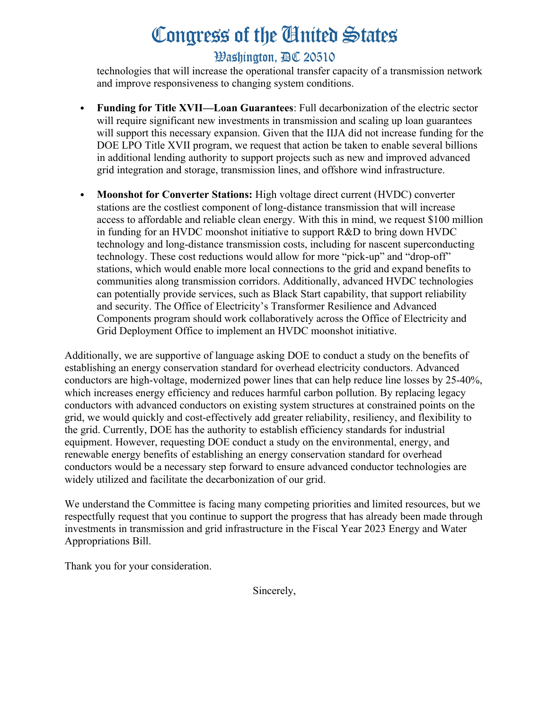## **Washington, AC 20510**

technologies that will increase the operational transfer capacity of a transmission network and improve responsiveness to changing system conditions.

- **Funding for Title XVII—Loan Guarantees**: Full decarbonization of the electric sector will require significant new investments in transmission and scaling up loan guarantees will support this necessary expansion. Given that the IIJA did not increase funding for the DOE LPO Title XVII program, we request that action be taken to enable several billions in additional lending authority to support projects such as new and improved advanced grid integration and storage, transmission lines, and offshore wind infrastructure.
- **Moonshot for Converter Stations:** High voltage direct current (HVDC) converter stations are the costliest component of long-distance transmission that will increase access to affordable and reliable clean energy. With this in mind, we request \$100 million in funding for an HVDC moonshot initiative to support R&D to bring down HVDC technology and long-distance transmission costs, including for nascent superconducting technology. These cost reductions would allow for more "pick-up" and "drop-off" stations, which would enable more local connections to the grid and expand benefits to communities along transmission corridors. Additionally, advanced HVDC technologies can potentially provide services, such as Black Start capability, that support reliability and security. The Office of Electricity's Transformer Resilience and Advanced Components program should work collaboratively across the Office of Electricity and Grid Deployment Office to implement an HVDC moonshot initiative.

Additionally, we are supportive of language asking DOE to conduct a study on the benefits of establishing an energy conservation standard for overhead electricity conductors. Advanced conductors are high-voltage, modernized power lines that can help reduce line losses by 25-40%, which increases energy efficiency and reduces harmful carbon pollution. By replacing legacy conductors with advanced conductors on existing system structures at constrained points on the grid, we would quickly and cost-effectively add greater reliability, resiliency, and flexibility to the grid. Currently, DOE has the authority to establish efficiency standards for industrial equipment. However, requesting DOE conduct a study on the environmental, energy, and renewable energy benefits of establishing an energy conservation standard for overhead conductors would be a necessary step forward to ensure advanced conductor technologies are widely utilized and facilitate the decarbonization of our grid.

We understand the Committee is facing many competing priorities and limited resources, but we respectfully request that you continue to support the progress that has already been made through investments in transmission and grid infrastructure in the Fiscal Year 2023 Energy and Water Appropriations Bill.

Thank you for your consideration.

Sincerely,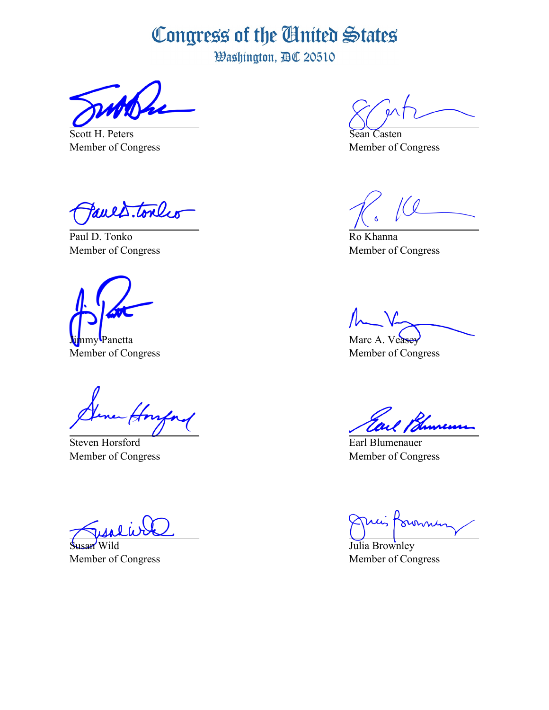Washington, AC 20510

Scott H. Peters Member of Congress

Pauls. tonly

Paul D. Tonko Member of Congress

nmy Panetta Member of Congress

Steven Horsford Member of Congress

Susan Wild Member of Congress

Sean Casten Member of Congress

Ro Khanna Member of Congress

Marc A. Member of Congress

Earl Blumenauer Member of Congress

ovenni

Julia Brownley Member of Congress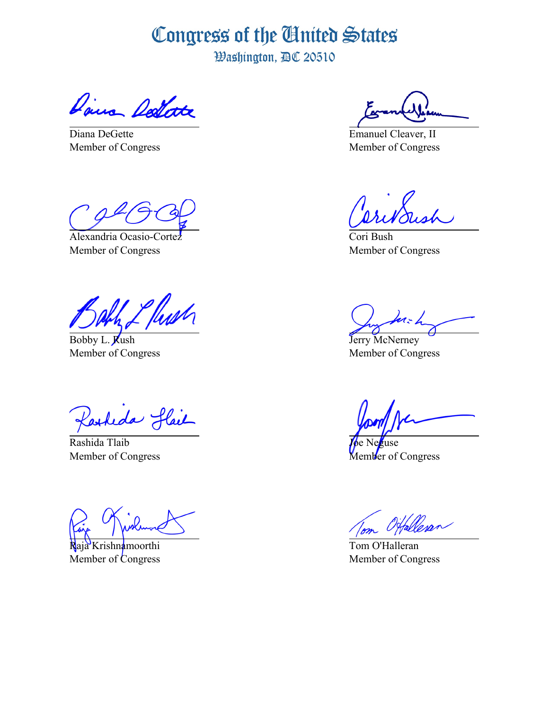Washington, AC 20510

Dairs Dellate

Diana DeGette Member of Congress

Alexandria Ocasio-Cortez Member of Congress

<u>l flush</u>

Bobby L. Rush Member of Congress

Kasheda Hail

Rashida Tlaib Member of Congress

Raja Krishnamoorthi Member of Congress

Emanuel Cleaver, II Member of Congress

Cori Bush Member of Congress

 $n_z$  h

Jerry McNerney Member of Congress

use Member of Congress

Tom O'Halleran Member of Congress